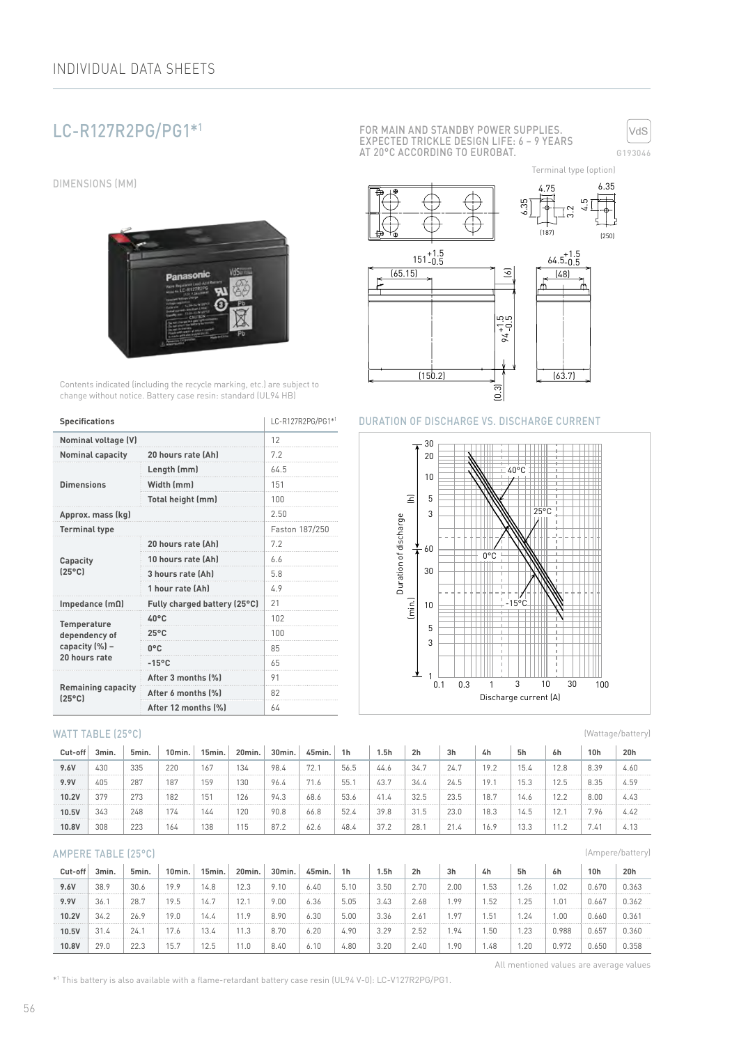# LC-R127R2PG/PG1\*1

DIMENSIONS (MM)



Contents indicated (including the recycle marking, etc.) are subject to change without notice. Battery case resin: standard (UL94 HB)

| <b>Specifications</b>                        | LC-R127R2PG/PG1*1            |                                      |  |  |
|----------------------------------------------|------------------------------|--------------------------------------|--|--|
| <b>Nominal voltage (V)</b>                   |                              |                                      |  |  |
| <b>Nominal capacity</b>                      | 20 hours rate (Ah)           | 7.2                                  |  |  |
|                                              | Length (mm)                  | 64.5                                 |  |  |
| <b>Dimensions</b>                            | Width (mm)                   | 151                                  |  |  |
|                                              | Total height (mm)            | 100<br>2.50<br>Faston 187/250<br>7.2 |  |  |
| Approx. mass (kg)                            |                              |                                      |  |  |
| <b>Terminal type</b>                         |                              |                                      |  |  |
|                                              | 20 hours rate (Ah)           |                                      |  |  |
| Capacity                                     | 10 hours rate (Ah)           | 6.6                                  |  |  |
| $[25^{\circ}C]$                              | 3 hours rate (Ah)            | 5.8                                  |  |  |
|                                              | 1 hour rate (Ah)             | 4.9                                  |  |  |
| Impedance $(m\Omega)$                        | Fully charged battery (25°C) | 21                                   |  |  |
| <b>Temperature</b>                           | $40^{\circ}$ C               | 102                                  |  |  |
| dependency of                                | $25^{\circ}$ C               | 100                                  |  |  |
| capacity (%) -                               | $0^{\circ}$ C                | 85                                   |  |  |
| 20 hours rate                                | $-15^{\circ}$ C              | 65                                   |  |  |
|                                              | After 3 months (%)           | 91                                   |  |  |
| <b>Remaining capacity</b><br>$(25^{\circ}C)$ | After 6 months (%)           | 82                                   |  |  |
|                                              | After 12 months (%)          | 64                                   |  |  |

### WATT TABLE (25°C)

| Cut-off | 3min. | 5min. | 10min. | 15min. | 20min. | 30min. | 45min.              | 1h   | 1.5h | 2 <sub>h</sub> | 3h   | 4h   | 5h   | 6h   | 10 <sub>h</sub> | 20h    |
|---------|-------|-------|--------|--------|--------|--------|---------------------|------|------|----------------|------|------|------|------|-----------------|--------|
| 9.6V    | 430   | 335   | 220    | 167    | 134    | 98.4   | $\mathbf{a}$<br>72. | 56.5 | 44.6 | 34.7           | 24.7 | 19.2 | 15.4 | 12.8 | 8.39            | 4.60   |
| 9.9V    | 405   | 287   | 187    | 159    | 130    | 96.4   | 71.6                | 55.  | 43.7 | 34.4           | 24.5 | 19.  |      | 12.5 | 8.35            | 4.59   |
| 10.2V   | 379   | 273   | 182    | 151    | 126    | 94.3   | 68.6                | 53.6 | 41.4 | 32.5           | 23.5 | 18.7 | 14.6 | 12.2 | 8.00            | 4.43   |
| 10.5V   | 343   | 248   | 74     | 144    | 120    | 90.8   | 66.8                | 52.4 | 39.8 | 31.5           | 23.0 | 18.3 | 14.5 | 2.1  | 7.96            | 4.47   |
| 10.8V   | 308   | 223   | 164    | 138    | 115    | 87.2   | 62.6                | 48.4 | 37.2 | 28.            | 21.4 | 16.9 | 13.3 |      | 7.41            | 4. I 3 |

## AMPERE TABLE (25°C)

| Cut-off | 3min. | 5min. | 10min. | 15min. | 20min. | 30min. | 45min. | 1 <sub>h</sub> | 5h   | 2 <sub>h</sub> | 3h     | 4h     | 5h   | 6h    | 10 <sub>h</sub> | 20h   |
|---------|-------|-------|--------|--------|--------|--------|--------|----------------|------|----------------|--------|--------|------|-------|-----------------|-------|
| 9.6V    | 38.9  | 30.6  | 19.9   | 14.8   | 12.3   | 9.10   | 6.40   | 5.10           | 3.50 | 2.70           | 2.00   | .53    | .26  | .02   | 0.670           | 0.363 |
| 9.9V    | 36.   | 28.7  | 19.5   | 14.7   | 12.1   | 9.00   | 6.36   | 5.05           | 3.43 | 2.68           | . 99   | .52    | .25  | .01   | 0.667           | 0.362 |
| 10.2V   | 34.2  | 26.9  | 19.0   | 14.4   | 11.9   | 8.90   | 6.30   | 5.00           | 3.36 | 2.61           | . . 97 | . . 51 | .24  | .00   | 0.660           | 0.361 |
| 10.5V   | 31.4  | 24.   |        | 13.4   | 11.3   | 8.70   | 6.20   | 4.90           | 3.29 | 2.52           | . . 94 | .50    | .23  | 1.988 | 0.657           | 0.360 |
| 10.8V   | 29.0  | 22.3  | 15.7   | 2.5    | 11.0   | 8.40   | 6.10   | 4.80           | 3.20 | 2.40           | . . 90 | . 48   | 1.20 | 1.972 | 0.650           | 0.358 |

FOR MAIN AND STANDBY POWER SUPPLIES. EXPECTED TRICKLE DESIGN LIFE: 6 – 9 YEARS AT 20°C ACCORDING TO EUROBAT.



(187) (250) 4.75 6.35 .<br>೧ 6.35 5<br>4.5  $151_{-0.5}^{+1.5}$ -0.5 64.5 +1.5 -0.5 (6) (65.15) (48)  $94 + 1.5$ <br> $-0.5$ Terminal type (option)



(0.3)

 $(150.2)$   $\qquad$   $\qquad$   $\qquad$   $(63.7)$ 



(Wattage/battery)

(Ampere/battery)

All mentioned values are average values

\*1 This battery is also available with a flame-retardant battery case resin (UL94 V-0): LC-V127R2PG/PG1.